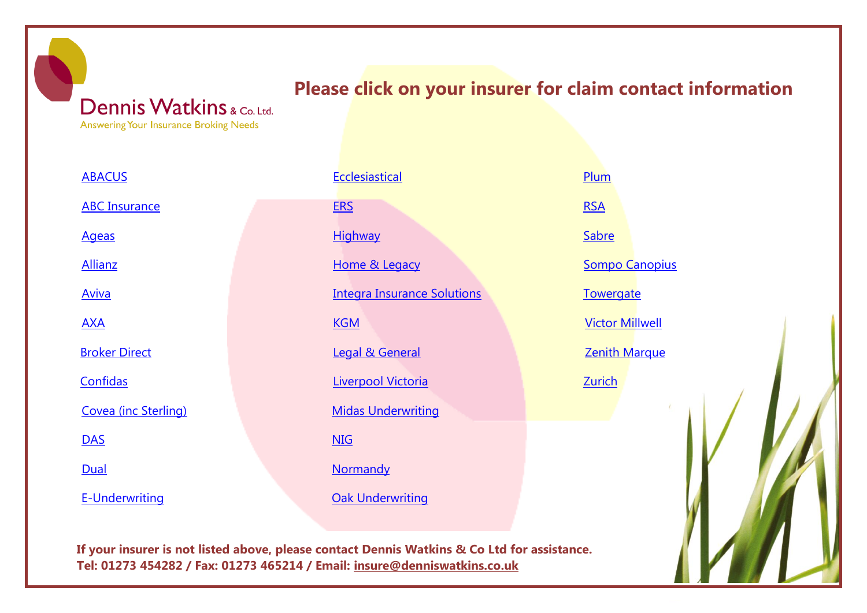## **Please click on your insurer for claim contact information**

Dennis Watkins & Co. Ltd. Answering Your Insurance Broking Needs

<span id="page-0-0"></span>

| <b>ABACUS</b>         |
|-----------------------|
| <b>ABC Insurance</b>  |
| <u>Ageas</u>          |
| <b>Allianz</b>        |
| <b>Aviva</b>          |
| <u>AXA</u>            |
| <b>Broker Direct</b>  |
| Confidas              |
| Covea (inc Sterling)  |
| <b>DAS</b>            |
| Dual                  |
| <b>E-Underwriting</b> |

| <b>Ecclesiastical</b>              |
|------------------------------------|
| <b>ERS</b>                         |
| <b>Highway</b>                     |
| Home & Legacy                      |
| <b>Integra Insurance Solutions</b> |
| <b>KGM</b>                         |
| <b>Legal &amp; General</b>         |
| Liverpool Victoria                 |
| <b>Midas Underwriting</b>          |
| <b>NIG</b>                         |
| <u>Normandy</u>                    |
| <b>Oak Underwriting</b>            |

[Plum](#page-25-0) **[RSA](#page-26-0)** [Sabre](#page-27-0) Sompo [Canopius](#page-28-0) **[Towergate](#page-29-0)** [Victor Millwell](#page-30-0) **[Zenith Marque](#page-31-0)** [Zurich](#page-32-0)

**If your insurer is not listed above, please contact Dennis Watkins & Co Ltd for assistance. Tel: 01273 454282 / Fax: 01273 465214 / Email: [insure@denniswatkins.co.uk](mailto:insure@denniswatkins.co.uk)**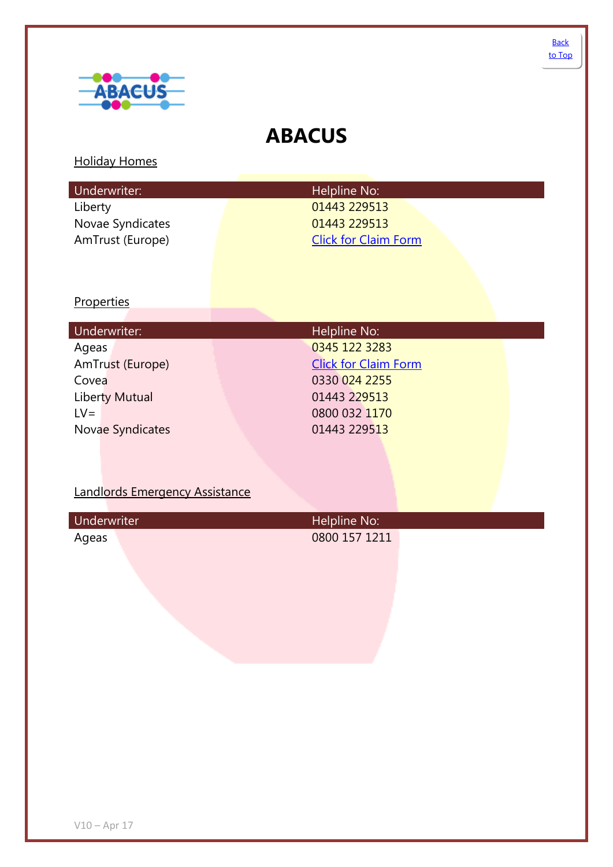

<span id="page-1-0"></span>

## **ABACUS**

### Holiday Homes

| Underwriter:     | Helpline No:                |
|------------------|-----------------------------|
| Liberty          | 01443 229513                |
| Novae Syndicates | 01443 229513                |
| AmTrust (Europe) | <b>Click for Claim Form</b> |

### **Properties**

| Underwriter:            | Helpline No:                |
|-------------------------|-----------------------------|
| Ageas                   | 0345 122 3283               |
| AmTrust (Europe)        | <b>Click for Claim Form</b> |
| Covea                   | 0330 024 2255               |
| Liberty Mutual          | 01443 229513                |
| $LV =$                  | 0800 032 1170               |
| <b>Novae Syndicates</b> | 01443 229513                |

### Landlords Emergency Assistance

| Underwriter | Helpline No:  |  |
|-------------|---------------|--|
| Ageas       | 0800 157 1211 |  |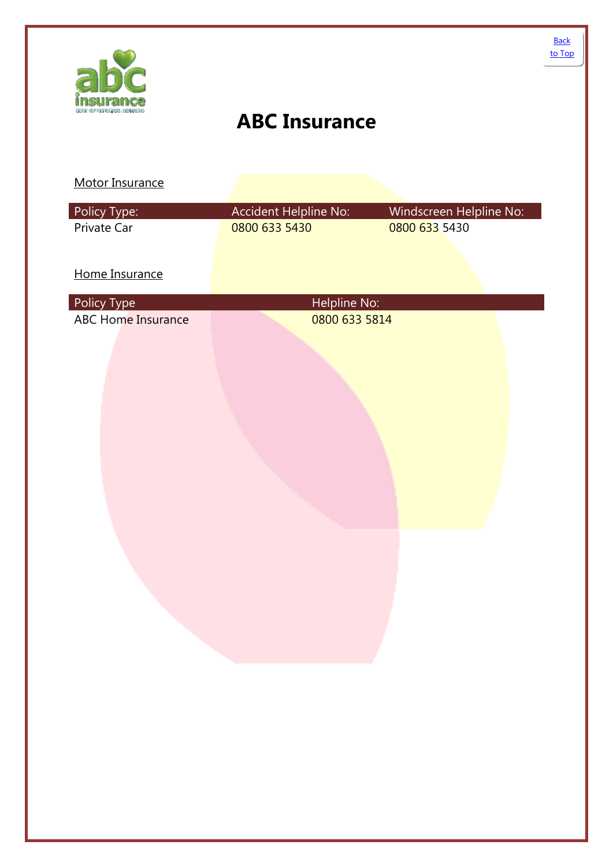<span id="page-2-0"></span>

| Policy Type:                             | Accident Helpline No:         | Windscreen Helpline No: |
|------------------------------------------|-------------------------------|-------------------------|
| Private Car                              | 0800 633 5430                 | 0800 633 5430           |
|                                          |                               |                         |
| Home Insurance                           |                               |                         |
|                                          |                               |                         |
| Policy Type<br><b>ABC Home Insurance</b> | Helpline No:<br>0800 633 5814 |                         |
|                                          |                               |                         |
|                                          |                               |                         |
|                                          |                               |                         |
|                                          |                               |                         |
|                                          |                               |                         |
|                                          |                               |                         |
|                                          |                               |                         |
|                                          |                               |                         |
|                                          |                               |                         |
|                                          |                               |                         |
|                                          |                               |                         |
|                                          |                               |                         |
|                                          |                               |                         |
|                                          |                               |                         |
|                                          |                               |                         |
|                                          |                               |                         |
|                                          |                               |                         |
|                                          |                               |                         |
|                                          |                               |                         |
|                                          |                               |                         |
|                                          |                               |                         |
|                                          |                               |                         |
|                                          |                               |                         |
|                                          |                               |                         |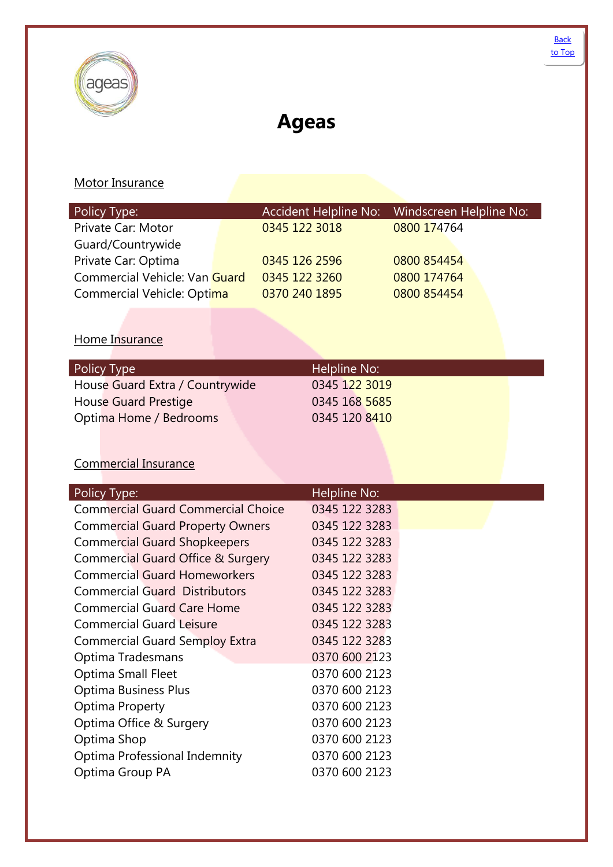<span id="page-3-0"></span>

# **Ageas**

### Motor Insurance

| Policy Type:                  |               | Accident Helpline No: Windscreen Helpline No: |  |
|-------------------------------|---------------|-----------------------------------------------|--|
| Private Car: Motor            | 0345 122 3018 | 0800 174764                                   |  |
| Guard/Countrywide             |               |                                               |  |
| Private Car: Optima           | 0345 126 2596 | 0800 854454                                   |  |
| Commercial Vehicle: Van Guard | 0345 122 3260 | 0800 174764                                   |  |
| Commercial Vehicle: Optima    | 0370 240 1895 | 0800 854454                                   |  |
|                               |               |                                               |  |

### Home Insurance

### Commercial Insurance

| Policy Type:                              | Helpline No:  |
|-------------------------------------------|---------------|
| <b>Commercial Guard Commercial Choice</b> | 0345 122 3283 |
| <b>Commercial Guard Property Owners</b>   | 0345 122 3283 |
| <b>Commercial Guard Shopkeepers</b>       | 0345 122 3283 |
| Commercial Guard Office & Surgery         | 0345 122 3283 |
| <b>Commercial Guard Homeworkers</b>       | 0345 122 3283 |
| <b>Commercial Guard Distributors</b>      | 0345 122 3283 |
| <b>Commercial Guard Care Home</b>         | 0345 122 3283 |
| <b>Commercial Guard Leisure</b>           | 0345 122 3283 |
| <b>Commercial Guard Semploy Extra</b>     | 0345 122 3283 |
| Optima Tradesmans                         | 0370 600 2123 |
| <b>Optima Small Fleet</b>                 | 0370 600 2123 |
| <b>Optima Business Plus</b>               | 0370 600 2123 |
| <b>Optima Property</b>                    | 0370 600 2123 |
| Optima Office & Surgery                   | 0370 600 2123 |
| Optima Shop                               | 0370 600 2123 |
| Optima Professional Indemnity             | 0370 600 2123 |
| Optima Group PA                           | 0370 600 2123 |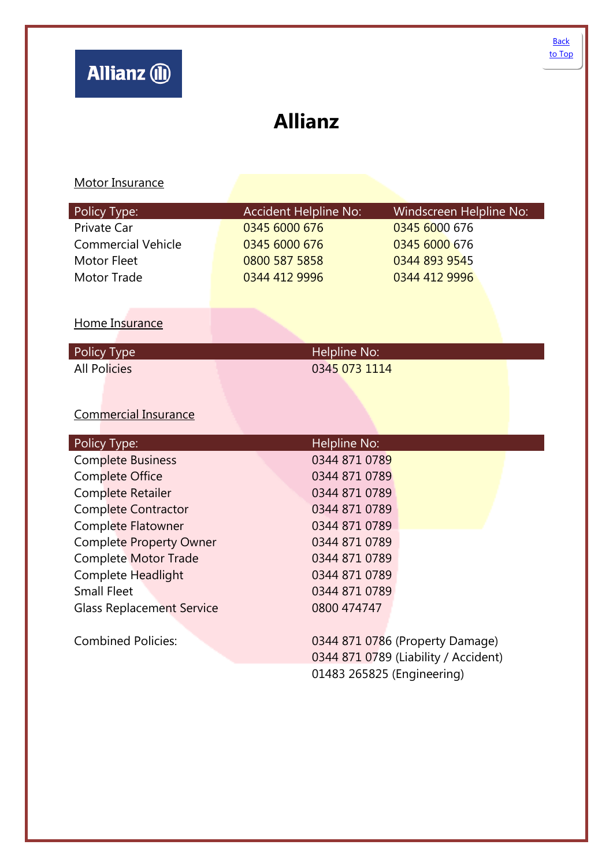## <span id="page-4-0"></span>**Allianz**

| Policy Type:                     | <b>Accident Helpline No:</b> | Windscreen Helpline No:              |
|----------------------------------|------------------------------|--------------------------------------|
| Private Car                      | 0345 6000 676                | 0345 6000 676                        |
| <b>Commercial Vehicle</b>        | 0345 6000 676                | 0345 6000 676                        |
| <b>Motor Fleet</b>               | 0800 587 5858                | 0344 893 9545                        |
| <b>Motor Trade</b>               | 0344 412 9996                | 0344 412 9996                        |
|                                  |                              |                                      |
|                                  |                              |                                      |
| Home Insurance                   |                              |                                      |
| Policy Type                      | Helpline No:                 |                                      |
| <b>All Policies</b>              | 0345 073 1114                |                                      |
|                                  |                              |                                      |
|                                  |                              |                                      |
| <b>Commercial Insurance</b>      |                              |                                      |
| Policy Type:                     | Helpline No:                 |                                      |
| <b>Complete Business</b>         | 0344 871 0789                |                                      |
| Complete Office                  | 0344 871 0789                |                                      |
| Complete Retailer                | 0344 871 0789                |                                      |
| <b>Complete Contractor</b>       | 0344 871 0789                |                                      |
| <b>Complete Flatowner</b>        | 0344 871 0789                |                                      |
| <b>Complete Property Owner</b>   | 0344 871 0789                |                                      |
| <b>Complete Motor Trade</b>      | 0344 871 0789                |                                      |
| Complete Headlight               | 0344 871 0789                |                                      |
| <b>Small Fleet</b>               | 0344 871 0789                |                                      |
| <b>Glass Replacement Service</b> | 0800 474747                  |                                      |
|                                  |                              |                                      |
| <b>Combined Policies:</b>        |                              | 0344 871 0786 (Property Damage)      |
|                                  |                              | 0344 871 0789 (Liability / Accident) |
|                                  | 01483 265825 (Engineering)   |                                      |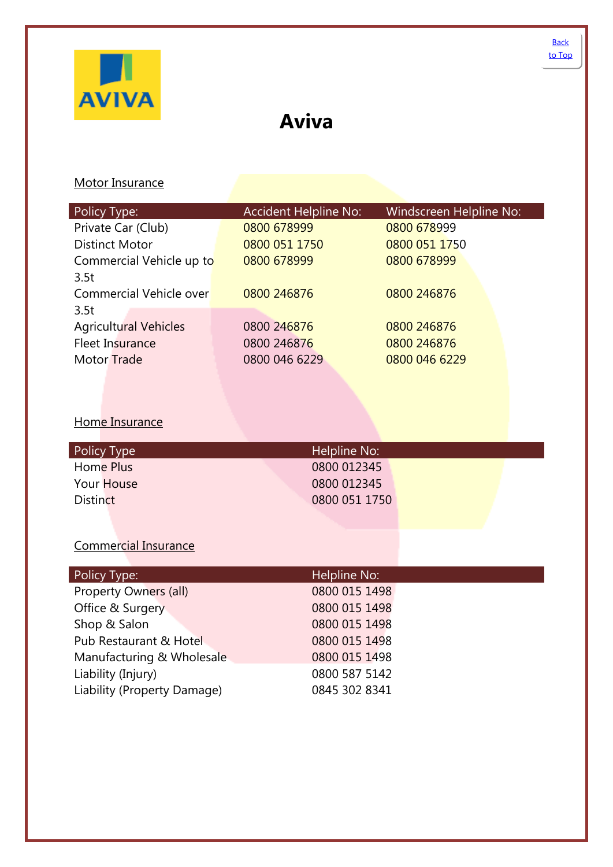<span id="page-5-0"></span>

# **Aviva**

### Motor Insurance

| Policy Type:                 | <b>Accident Helpline No:</b> | Windscreen Helpline No: |
|------------------------------|------------------------------|-------------------------|
| Private Car (Club)           | 0800 678999                  | 0800 678999             |
| <b>Distinct Motor</b>        | 0800 051 1750                | 0800 051 1750           |
| Commercial Vehicle up to     | 0800 678999                  | 0800 678999             |
| 3.5t                         |                              |                         |
| Commercial Vehicle over      | 0800 246876                  | 0800 246876             |
| 3.5t                         |                              |                         |
| <b>Agricultural Vehicles</b> | 0800 246876                  | 0800 246876             |
| <b>Fleet Insurance</b>       | 0800 246876                  | 0800 246876             |
| <b>Motor Trade</b>           | 0800 046 6229                | 0800 046 6229           |

### Home Insurance

| Policy Type     | Helpline No:  |
|-----------------|---------------|
| Home Plus       | 0800 012345   |
| Your House      | 0800 012345   |
| <b>Distinct</b> | 0800 051 1750 |
|                 |               |

### Commercial Insurance

| Policy Type:                | Helpline No:  |
|-----------------------------|---------------|
| Property Owners (all)       | 0800 015 1498 |
| Office & Surgery            | 0800 015 1498 |
| Shop & Salon                | 0800 015 1498 |
| Pub Restaurant & Hotel      | 0800 015 1498 |
| Manufacturing & Wholesale   | 0800 015 1498 |
| Liability (Injury)          | 0800 587 5142 |
| Liability (Property Damage) | 0845 302 8341 |
|                             |               |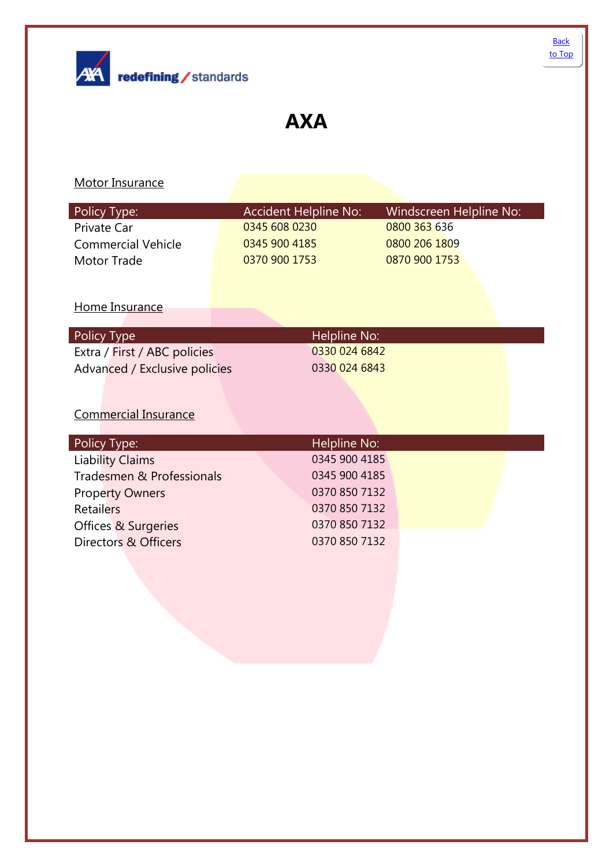<span id="page-6-0"></span>

## **AXA**

| Policy Type:                  | <b>Accident Helpline No:</b> | <b>Windscreen Helpline No:</b> |  |
|-------------------------------|------------------------------|--------------------------------|--|
| Private Car                   | 0345 608 0230                | 0800 363 636                   |  |
| <b>Commercial Vehicle</b>     | 0345 900 4185                | 0800 206 1809                  |  |
| Motor Trade                   | 0370 900 1753                | 0870 900 1753                  |  |
|                               |                              |                                |  |
|                               |                              |                                |  |
| Home Insurance                |                              |                                |  |
|                               |                              |                                |  |
| Policy Type                   | <b>Helpline No:</b>          |                                |  |
| Extra / First / ABC policies  | 0330 024 6842                |                                |  |
| Advanced / Exclusive policies | 0330 024 6843                |                                |  |
|                               |                              |                                |  |
|                               |                              |                                |  |
| <b>Commercial Insurance</b>   |                              |                                |  |
|                               |                              |                                |  |
| Policy Type:                  | Helpline No:                 |                                |  |
| <b>Liability Claims</b>       | 0345 900 4185                |                                |  |
| Tradesmen & Professionals     | 0345 900 4185                |                                |  |
| <b>Property Owners</b>        | 0370 850 7132                |                                |  |
| <b>Retailers</b>              | 0370 850 7132                |                                |  |
| Offices & Surgeries           | 0370 850 7132                |                                |  |
| Directors & Officers          | 0370 850 7132                |                                |  |
|                               |                              |                                |  |
|                               |                              |                                |  |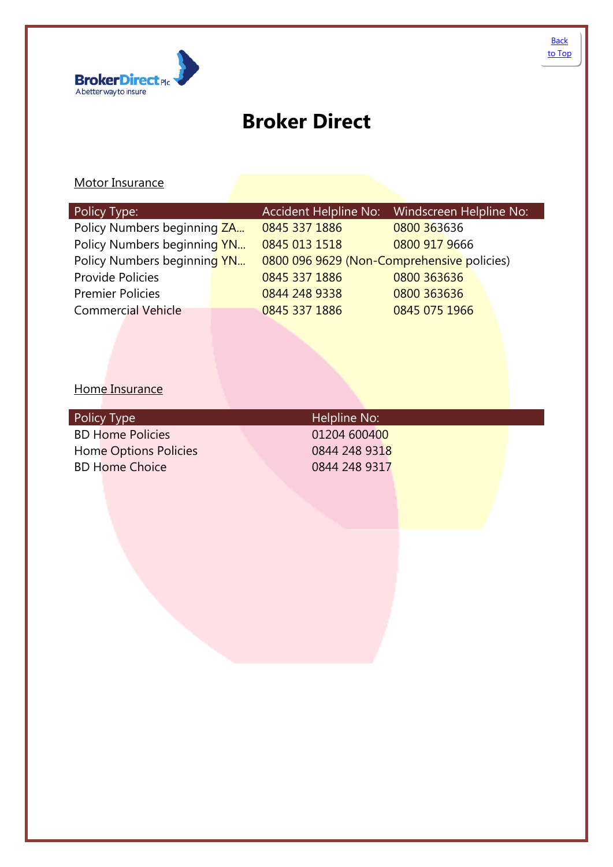<span id="page-7-0"></span>

# **Broker Direct**

### Motor Insurance

| Policy Type:                |               | <b>Accident Helpline No:</b> | Windscreen Helpline No:                    |  |
|-----------------------------|---------------|------------------------------|--------------------------------------------|--|
| Policy Numbers beginning ZA | 0845 337 1886 |                              | 0800 363636                                |  |
| Policy Numbers beginning YN | 0845 013 1518 |                              | 0800 917 9666                              |  |
| Policy Numbers beginning YN |               |                              | 0800 096 9629 (Non-Comprehensive policies) |  |
| <b>Provide Policies</b>     | 0845 337 1886 |                              | 0800 363636                                |  |
| <b>Premier Policies</b>     | 0844 248 9338 |                              | 0800 363636                                |  |
| <b>Commercial Vehicle</b>   | 0845 337 1886 |                              | 0845 075 1966                              |  |
|                             |               |                              |                                            |  |

### Home Insurance

| Policy Type             | Helpline No:  |  |
|-------------------------|---------------|--|
| <b>BD Home Policies</b> | 01204 600400  |  |
| Home Options Policies   | 0844 248 9318 |  |
| <b>BD Home Choice</b>   | 0844 248 9317 |  |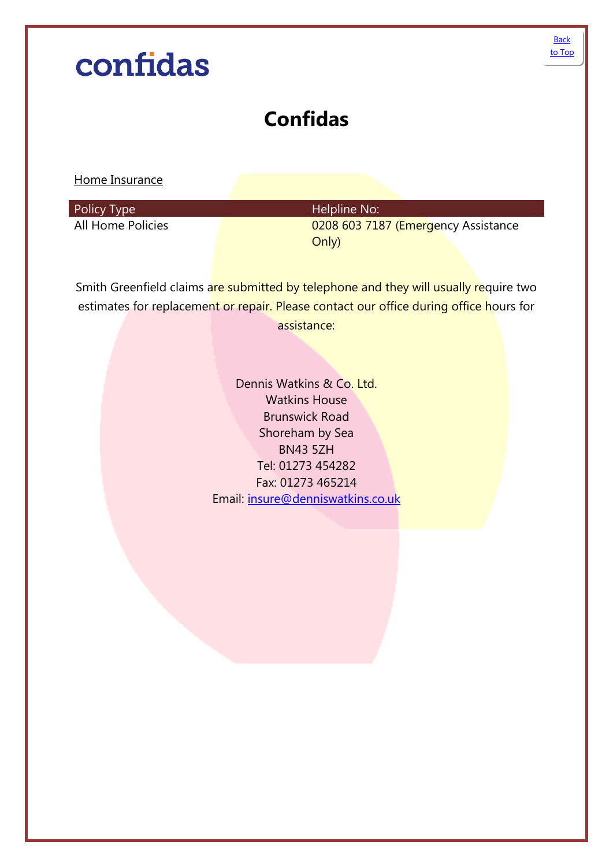# <span id="page-8-0"></span>**Back** [to Top](#page-0-0)confidas **Confidas** Home Insurance Policy Type **Helpline No: Helpline No:** All Home Policies **Call Access 120 and Call Access** 20208 603 7187 (Emergency Assistance Only) Smith Greenfield claims are submitted by telephone and they will usually require two estimates for replacement or repair. Please contact our office during office hours for assistance: Dennis Watkins & Co. Ltd. Watkins House Brunswick Road Shoreham by Sea BN43 5ZH Tel: 01273 454282 Fax: 01273 465214 Email: [insure@denniswatkins.co.uk](mailto:insure@denniswatkins.co.uk)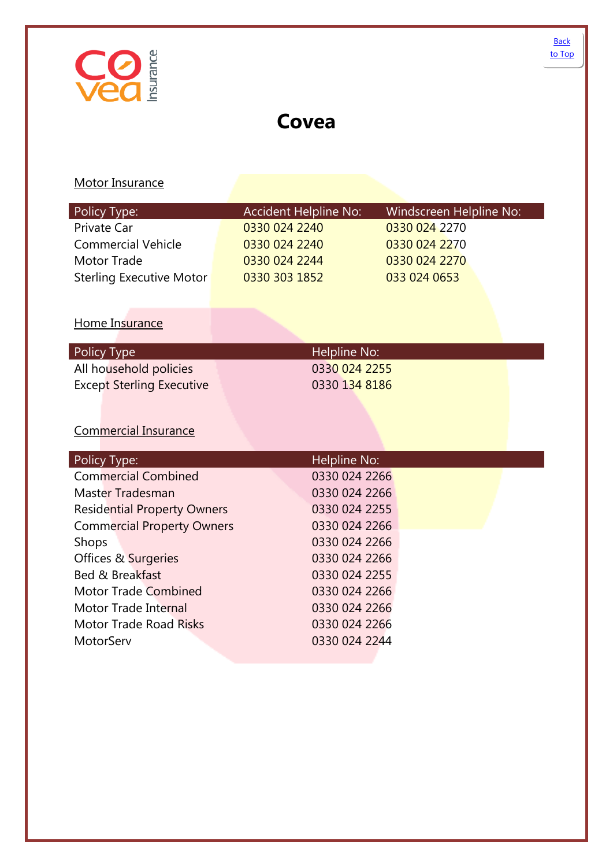## <span id="page-9-0"></span>**Covea**

| Policy Type:                       | <b>Accident Helpline No:</b> |               | Windscreen Helpline No: |
|------------------------------------|------------------------------|---------------|-------------------------|
| Private Car                        | 0330 024 2240                |               | 0330 024 2270           |
| <b>Commercial Vehicle</b>          | 0330 024 2240                |               | 0330 024 2270           |
| <b>Motor Trade</b>                 | 0330 024 2244                |               | 0330 024 2270           |
| <b>Sterling Executive Motor</b>    | 0330 303 1852                |               | 033 024 0653            |
|                                    |                              |               |                         |
| Home Insurance                     |                              |               |                         |
|                                    |                              |               |                         |
| Policy Type                        |                              | Helpline No:  |                         |
| All household policies             |                              | 0330 024 2255 |                         |
| <b>Except Sterling Executive</b>   |                              | 0330 134 8186 |                         |
|                                    |                              |               |                         |
|                                    |                              |               |                         |
| <b>Commercial Insurance</b>        |                              |               |                         |
| Policy Type:                       |                              | Helpline No:  |                         |
| <b>Commercial Combined</b>         |                              | 0330 024 2266 |                         |
| <b>Master Tradesman</b>            |                              | 0330 024 2266 |                         |
| <b>Residential Property Owners</b> |                              | 0330 024 2255 |                         |
| <b>Commercial Property Owners</b>  |                              | 0330 024 2266 |                         |
| Shops                              |                              | 0330 024 2266 |                         |
| Offices & Surgeries                |                              | 0330 024 2266 |                         |
| Bed & Breakfast                    |                              | 0330 024 2255 |                         |
| <b>Motor Trade Combined</b>        |                              | 0330 024 2266 |                         |
| <b>Motor Trade Internal</b>        |                              | 0330 024 2266 |                         |
| <b>Motor Trade Road Risks</b>      |                              | 0330 024 2266 |                         |
| MotorServ                          |                              | 0330 024 2244 |                         |
|                                    |                              |               |                         |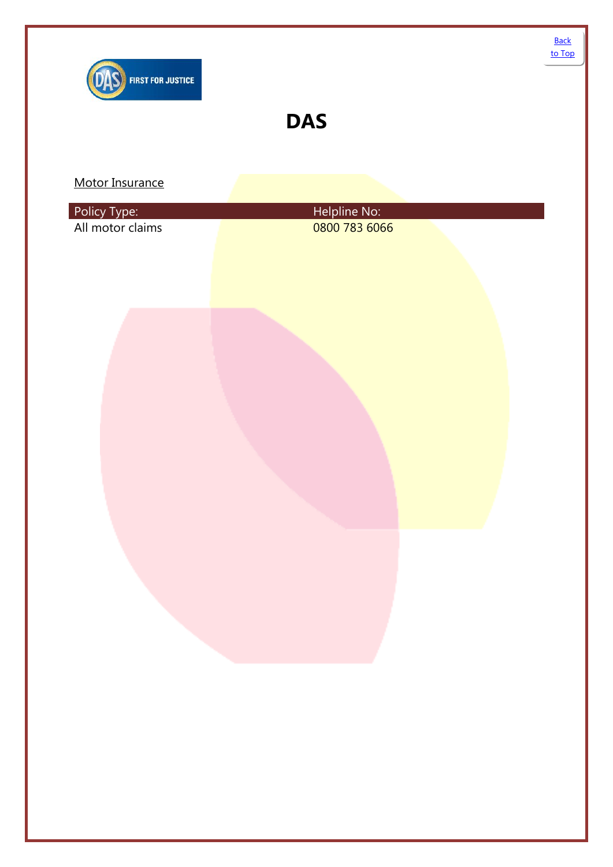<span id="page-10-0"></span>

| Policy Type:<br>All motor claims | Helpline No:<br>0800 783 6066 |
|----------------------------------|-------------------------------|
|                                  |                               |
|                                  |                               |
|                                  |                               |
|                                  |                               |
|                                  |                               |
|                                  |                               |
|                                  |                               |
|                                  |                               |
|                                  |                               |
|                                  |                               |
|                                  |                               |
|                                  |                               |
|                                  |                               |
|                                  |                               |
|                                  |                               |
|                                  |                               |
|                                  |                               |
|                                  |                               |
|                                  |                               |
|                                  |                               |
|                                  |                               |
|                                  |                               |
|                                  | $\sim$ 1                      |
|                                  |                               |
|                                  |                               |
|                                  |                               |
|                                  |                               |
|                                  |                               |
|                                  |                               |
|                                  |                               |
|                                  |                               |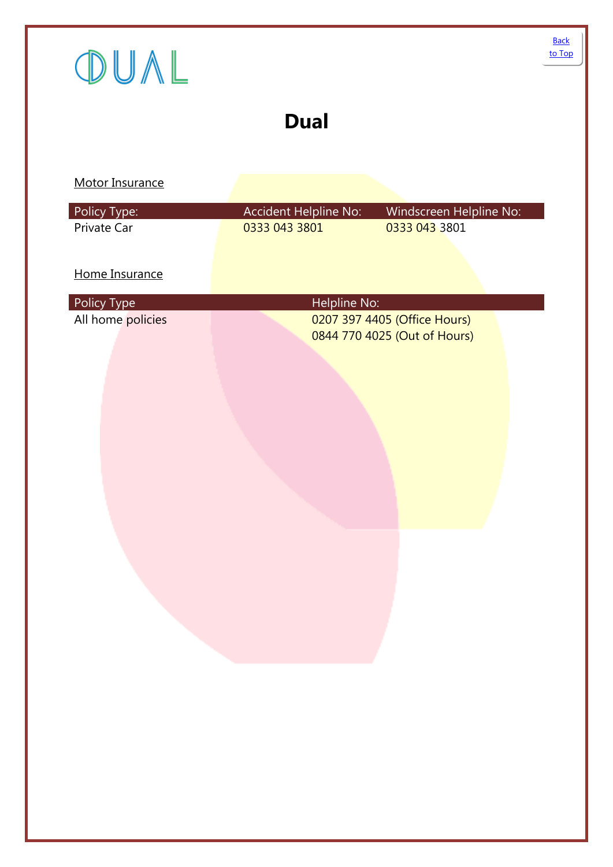<span id="page-11-0"></span>

| OUAL                             |                                        |                                                              | to Top |
|----------------------------------|----------------------------------------|--------------------------------------------------------------|--------|
|                                  | <b>Dual</b>                            |                                                              |        |
| Motor Insurance                  |                                        |                                                              |        |
| Policy Type:<br>Private Car      | Accident Helpline No:<br>0333 043 3801 | Windscreen Helpline No:<br>0333 043 3801                     |        |
| Home Insurance                   |                                        |                                                              |        |
| Policy Type<br>All home policies | Helpline No:                           | 0207 397 4405 (Office Hours)<br>0844 770 4025 (Out of Hours) |        |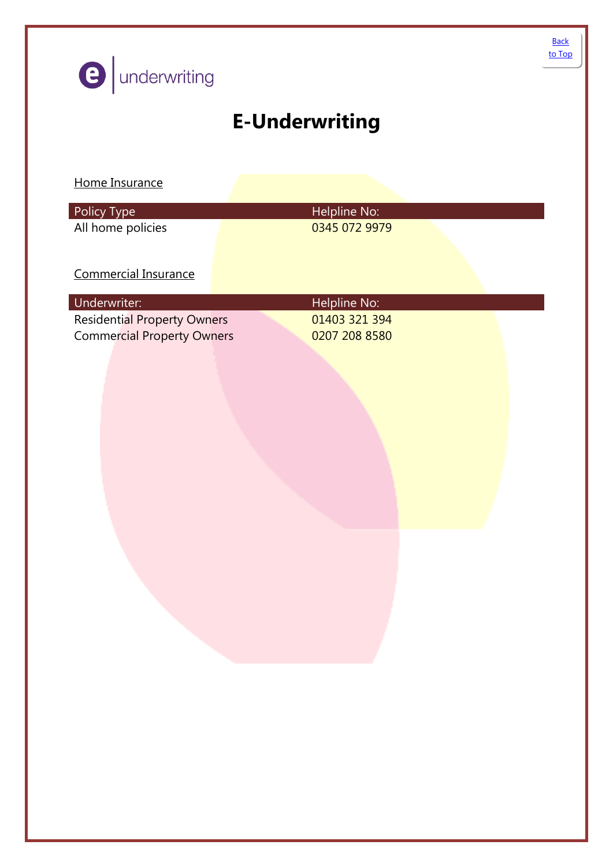<span id="page-12-0"></span>

| <b>O</b> underwriting                                                                   |                                                | <b>Back</b><br>to Top |
|-----------------------------------------------------------------------------------------|------------------------------------------------|-----------------------|
|                                                                                         | <b>E-Underwriting</b>                          |                       |
| Home Insurance                                                                          |                                                |                       |
| Policy Type<br>All home policies                                                        | Helpline No:<br>0345 072 9979                  |                       |
| Commercial Insurance                                                                    |                                                |                       |
| Underwriter:<br><b>Residential Property Owners</b><br><b>Commercial Property Owners</b> | Helpline No:<br>01403 321 394<br>0207 208 8580 |                       |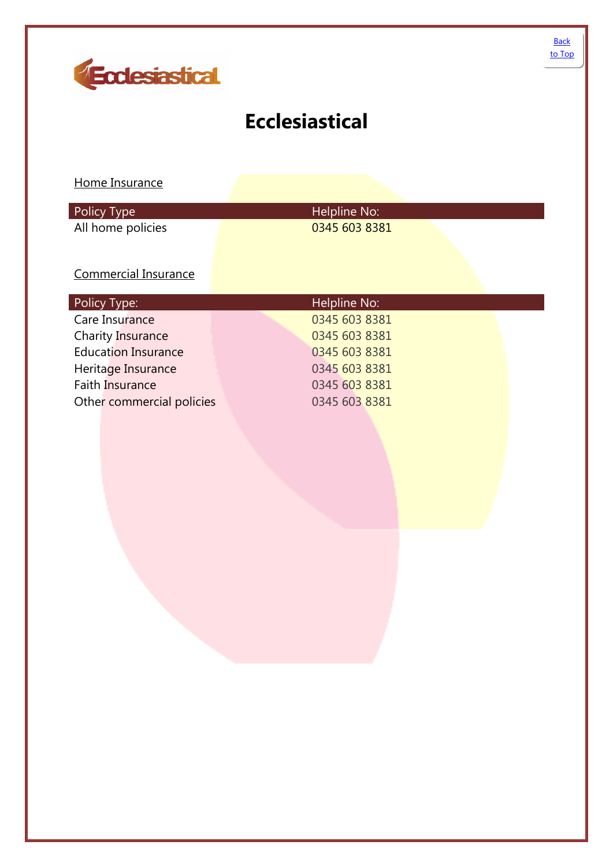

<span id="page-13-0"></span>

## **Ecclesiastical**

Home Insurance

| Policy Type       | Helpline No:  |  |
|-------------------|---------------|--|
| All home policies | 0345 603 8381 |  |

### Commercial Insurance

| Policy Type:               | Helpline No:  |
|----------------------------|---------------|
| Care Insurance             | 0345 603 8381 |
| <b>Charity Insurance</b>   | 0345 603 8381 |
| <b>Education Insurance</b> | 0345 603 8381 |
| Heritage Insurance         | 0345 603 8381 |
| Faith Insurance            | 0345 603 8381 |
| Other commercial policies  | 0345 603 8381 |
|                            |               |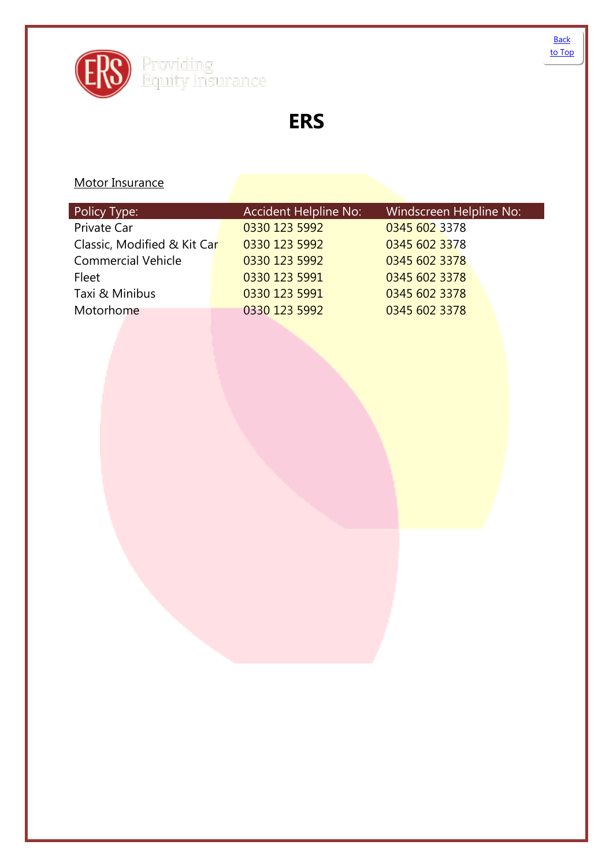<span id="page-14-0"></span>

**ERS**

### Motor Insurance

 $\overline{\phantom{a}}$ 

| Accident Helpline No:                        | Windscreen Helpline No: |
|----------------------------------------------|-------------------------|
| 0330 123 5992                                | 0345 602 3378           |
| 0330 123 5992<br>Classic, Modified & Kit Car | 0345 602 3378           |
| 0330 123 5992                                | 0345 602 3378           |
| 0330 123 5991                                | 0345 602 3378           |
| 0330 123 5991                                | 0345 602 3378           |
| 0330 123 5992                                | 0345 602 3378           |
|                                              |                         |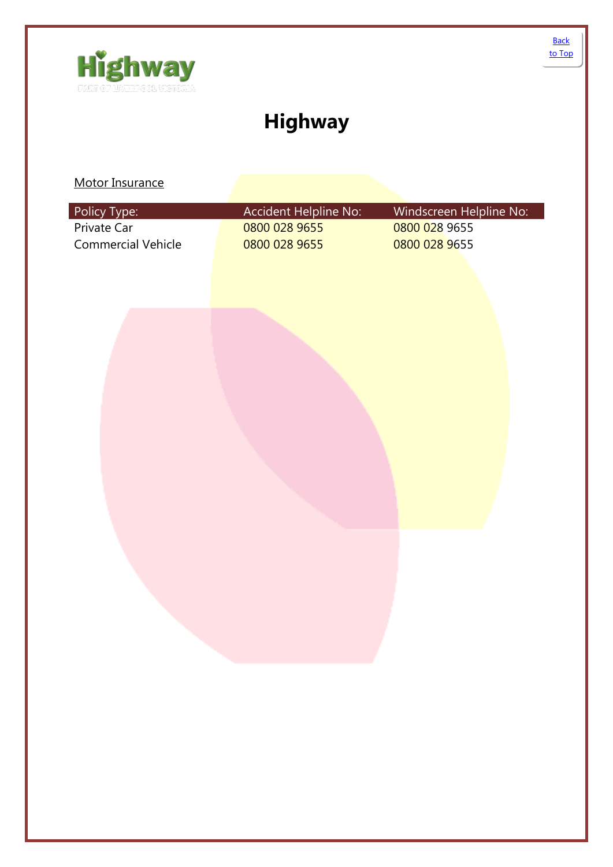<span id="page-15-0"></span>

# **Highway**

| Policy Type:              | Accident Helpline No: | Windscreen Helpline No: |
|---------------------------|-----------------------|-------------------------|
| Private Car               | 0800 028 9655         | 0800 028 9655           |
| <b>Commercial Vehicle</b> | 0800 028 9655         | 0800 028 9655           |
|                           |                       |                         |
|                           |                       |                         |
|                           |                       |                         |
|                           |                       |                         |
|                           |                       |                         |
|                           |                       |                         |
|                           |                       |                         |
|                           |                       |                         |
|                           |                       |                         |
|                           |                       |                         |
|                           |                       |                         |
|                           |                       |                         |
|                           |                       |                         |
|                           |                       |                         |
|                           |                       |                         |
|                           |                       |                         |
|                           |                       |                         |
|                           |                       |                         |
|                           |                       |                         |
|                           |                       |                         |
|                           |                       |                         |
|                           |                       |                         |
|                           |                       |                         |
|                           |                       |                         |
|                           |                       |                         |
|                           |                       |                         |
|                           |                       |                         |
|                           |                       |                         |
|                           |                       |                         |
|                           |                       |                         |
|                           |                       |                         |
|                           |                       |                         |
|                           |                       |                         |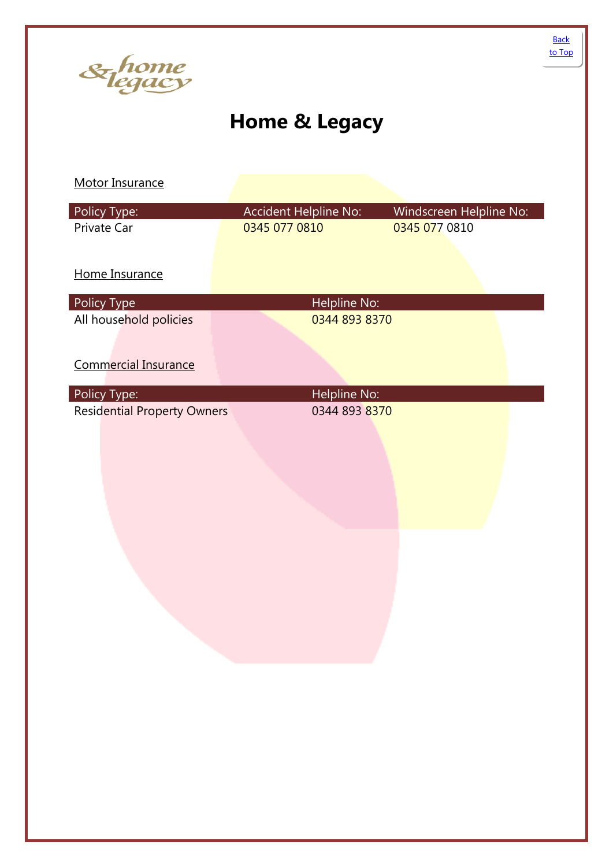<span id="page-16-0"></span>

# **Home & Legacy**

| Policy Type:                       | Accident Helpline No: | Windscreen Helpline No: |
|------------------------------------|-----------------------|-------------------------|
| Private Car                        | 0345 077 0810         | 0345 077 0810           |
|                                    |                       |                         |
| Home Insurance                     |                       |                         |
| Policy Type                        | Helpline No:          |                         |
| All household policies             | 0344 893 8370         |                         |
|                                    |                       |                         |
| <b>Commercial Insurance</b>        |                       |                         |
| Policy Type:                       | Helpline No:          |                         |
| <b>Residential Property Owners</b> | 0344 893 8370         |                         |
|                                    |                       |                         |
|                                    |                       |                         |
|                                    |                       |                         |
|                                    |                       |                         |
|                                    |                       |                         |
|                                    |                       |                         |
|                                    |                       |                         |
|                                    |                       |                         |
|                                    |                       |                         |
|                                    |                       |                         |
|                                    |                       |                         |
|                                    |                       |                         |
|                                    |                       |                         |
|                                    |                       |                         |
|                                    |                       |                         |
|                                    |                       |                         |
|                                    |                       |                         |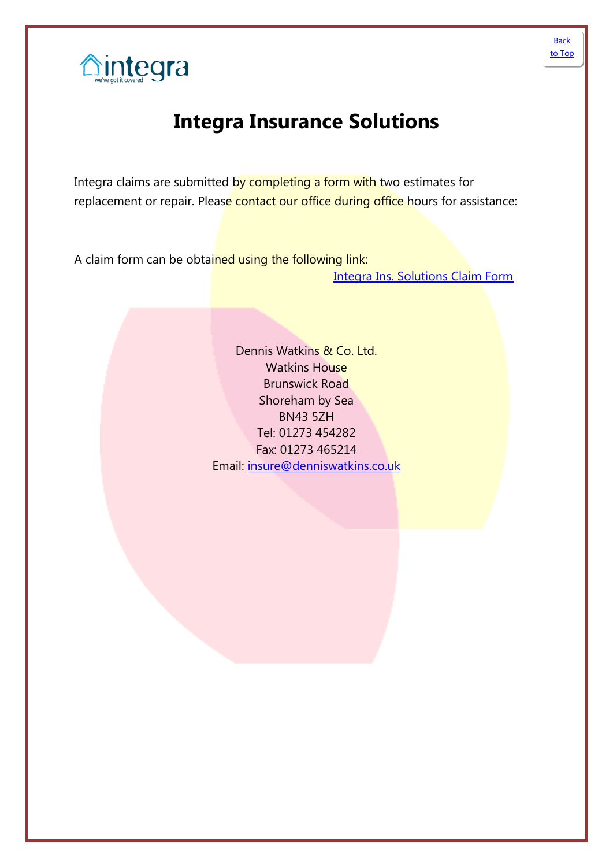

<span id="page-17-0"></span>

## **Integra Insurance Solutions**

Integra claims are submitted by completing a form with two estimates for replacement or repair. Please contact our office during office hours for assistance:

A claim form can be obtained using the following link:

Integra Ins. [Solutions Claim Form](http://www.integra-ins.co.uk/perch/resources/integrahouseholdclaim.pdf)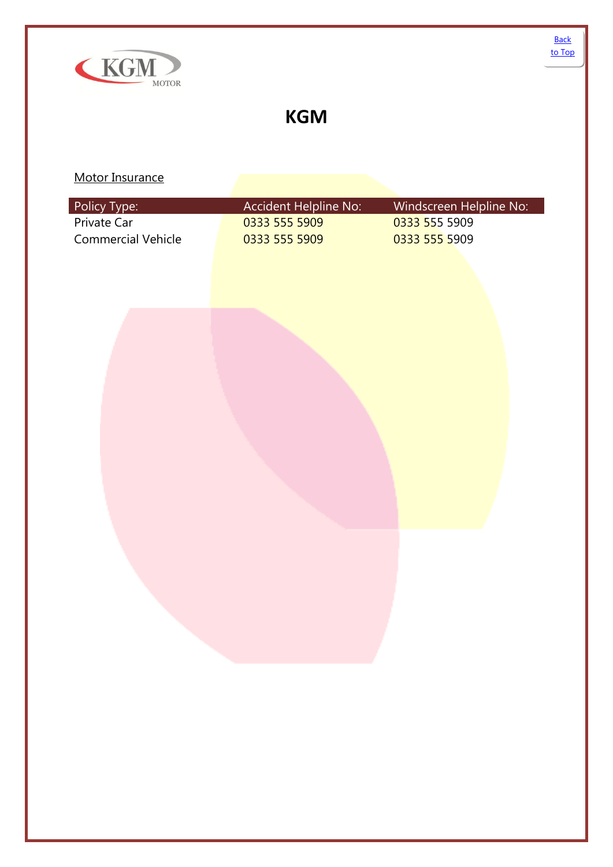<span id="page-18-0"></span>

### **KGM**

| Policy Type:              | Accident Helpline No: | Windscreen Helpline No: |
|---------------------------|-----------------------|-------------------------|
| Private Car               | 0333 555 5909         | 0333 555 5909           |
| <b>Commercial Vehicle</b> | 0333 555 5909         | 0333 555 5909           |
|                           |                       |                         |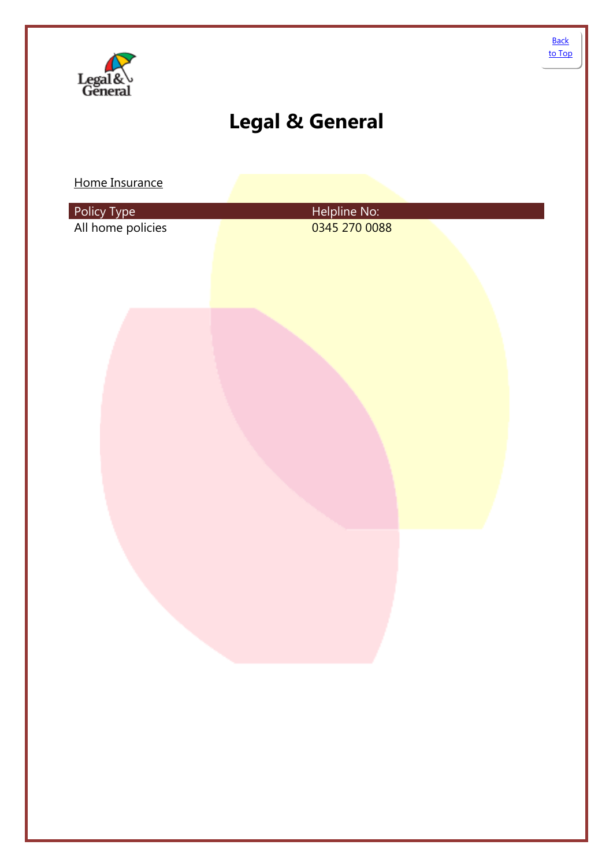<span id="page-19-0"></span>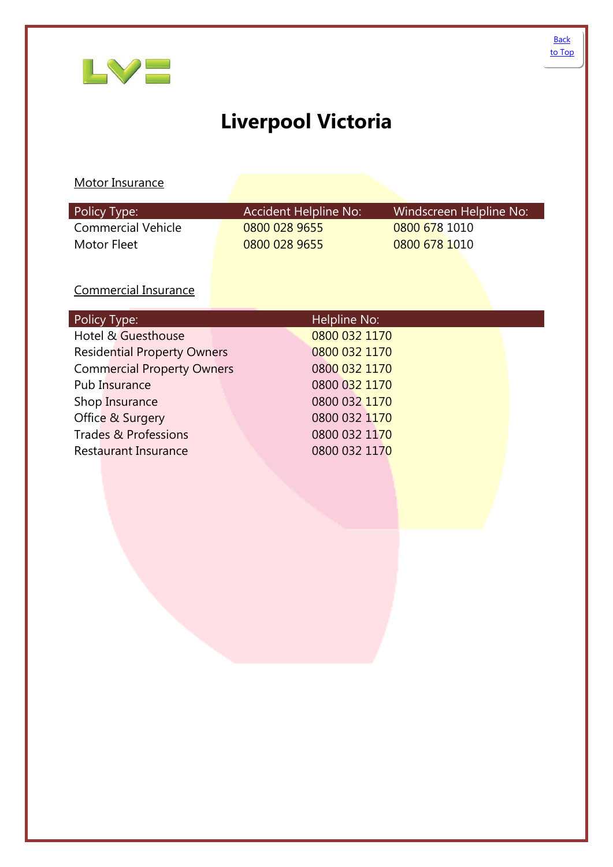<span id="page-20-0"></span>

# **Liverpool Victoria**

### Motor Insurance

| Policy Type:       | Accident Helpline No: | Windscreen Helpline No: |
|--------------------|-----------------------|-------------------------|
| Commercial Vehicle | 0800 028 9655         | 0800 678 1010           |
| Motor Fleet        | 0800 028 9655         | 0800 678 1010           |

### Commercial Insurance

| Policy Type:                       | Helpline No:  |
|------------------------------------|---------------|
| Hotel & Guesthouse                 | 0800 032 1170 |
| <b>Residential Property Owners</b> | 0800 032 1170 |
| <b>Commercial Property Owners</b>  | 0800 032 1170 |
| Pub Insurance                      | 0800 032 1170 |
| Shop Insurance                     | 0800 032 1170 |
| Office & Surgery                   | 0800 032 1170 |
| Trades & Professions               | 0800 032 1170 |
| <b>Restaurant Insurance</b>        | 0800 032 1170 |
|                                    |               |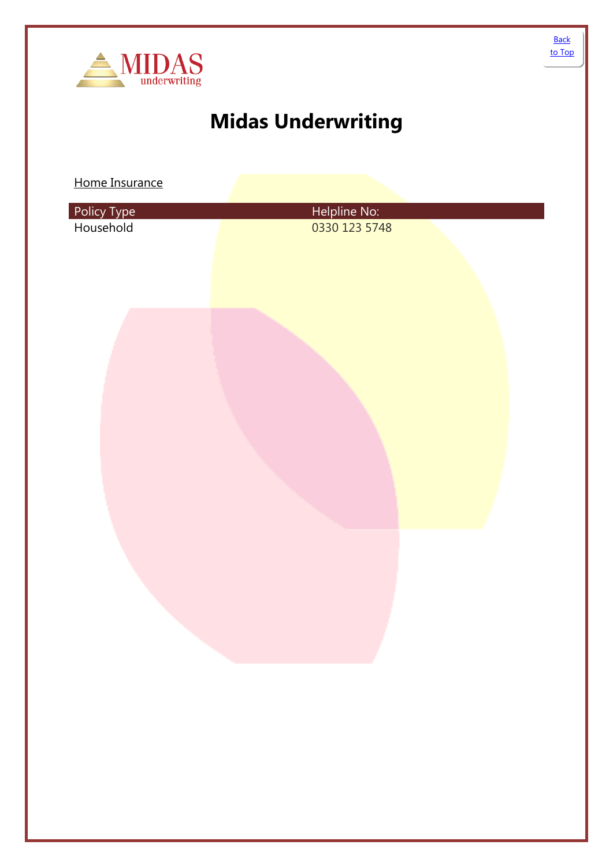<span id="page-21-0"></span>

# **Midas Underwriting**

Home Insurance

| Policy Type<br>Household | Helpline No:<br>0330 123 5748 |
|--------------------------|-------------------------------|
|                          |                               |
|                          |                               |
|                          |                               |
|                          |                               |
|                          |                               |
|                          |                               |
|                          |                               |

**Back** [to Top](#page-0-0)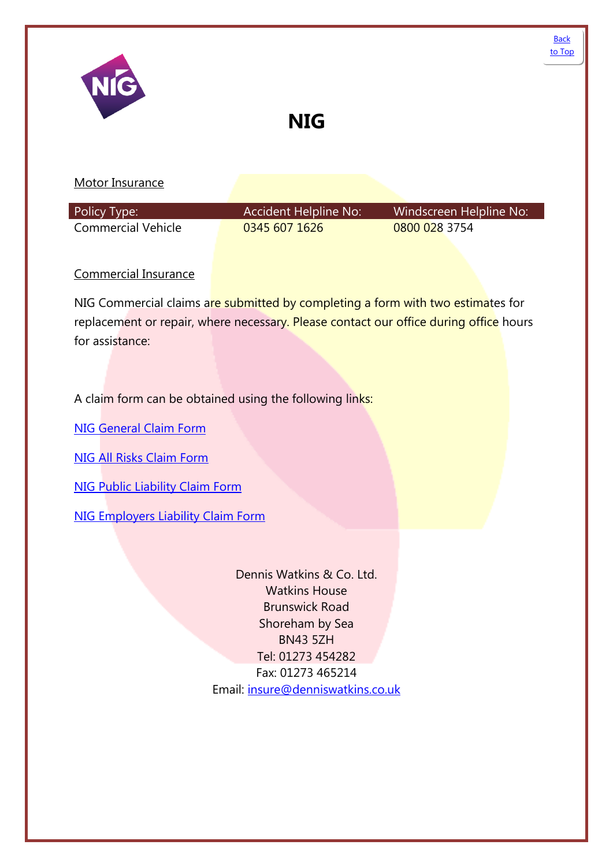<span id="page-22-0"></span>

| NIG                         | <b>NIG</b>                   |                         | <b>Back</b><br>to Top |
|-----------------------------|------------------------------|-------------------------|-----------------------|
| Motor Insurance             |                              |                         |                       |
| Policy Type:                | <b>Accident Helpline No:</b> | Windscreen Helpline No: |                       |
| <b>Commercial Vehicle</b>   | 0345 607 1626                | 0800 028 3754           |                       |
| <b>Commercial Insurance</b> |                              |                         |                       |

NIG Commercial claims are submitted by completing a form with two estimates for replacement or repair, where necessary. Please contact our office during office hours for assistance:

A claim form can be obtained using the following links:

[NIG General Claim](http://www.nig.com/media/12194/nig1101q_05_13___general_claim_form__london_.pdf) Form

[NIG All Risks Claim Form](http://www.nig.com/media/12206/nig1107r_05_13___all_risks__london_.pdf)

[NIG Public Liability Claim Form](http://www.nig.com/media/12197/nig1102m_05_13___public_liability__london_.pdf)

[NIG Employers Liability Claim Form](http://www.nig.com/media/12209/nig1111p_05_13___employers_liability__london_.pdf)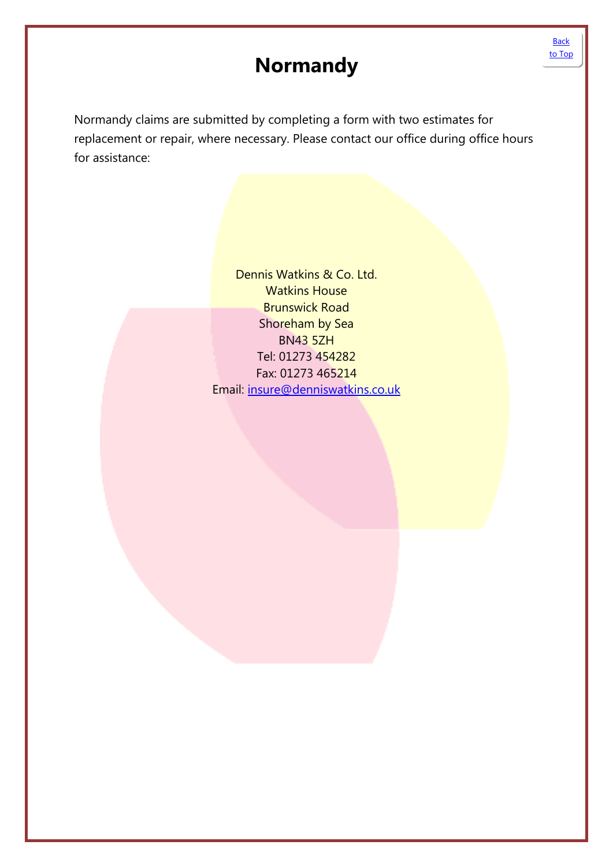## **Normandy**

[Back](#page-0-0)  [to Top](#page-0-0)

<span id="page-23-0"></span>Normandy claims are submitted by completing a form with two estimates for replacement or repair, where necessary. Please contact our office during office hours for assistance: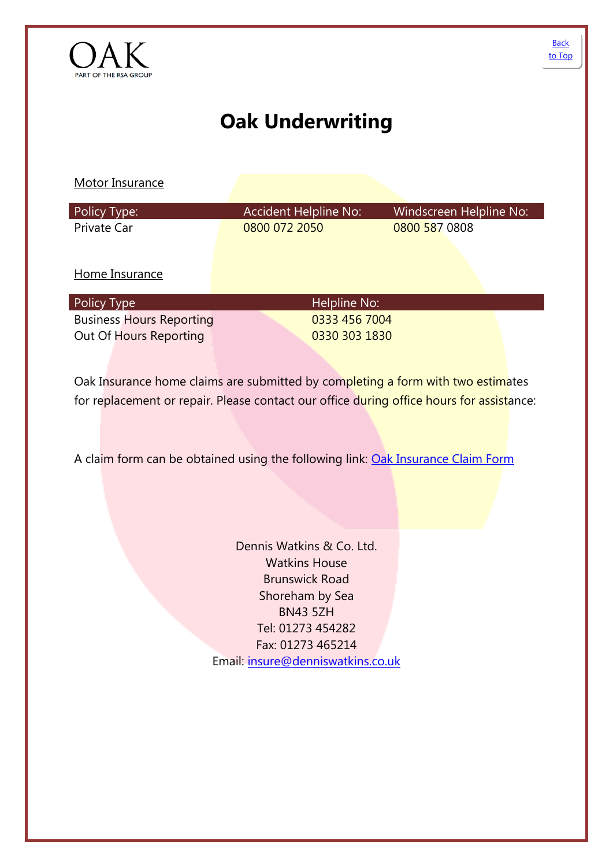<span id="page-24-0"></span>

# **Oak Underwriting**

Motor Insurance

| Policy Type: | Accident Helpline No: | Windscreen Helpline No: |
|--------------|-----------------------|-------------------------|
| Private Car  | 0800 072 2050         | 0800 587 0808           |

Home Insurance

| Policy Type                     | Helpline No:  |
|---------------------------------|---------------|
| <b>Business Hours Reporting</b> | 0333 456 7004 |
| Out Of Hours Reporting          | 0330 303 1830 |

Oak Insurance home claims are submitted by completing a form with two estimates for replacement or repair. Please contact our office during office hours for assistance:

A claim form can be obtained using the following link: [Oak Insurance Claim Form](http://www.oak-underwriting.co.uk/Home/GetExcelFileNotSecure?fileName=Oak%20claim%20form.pdf)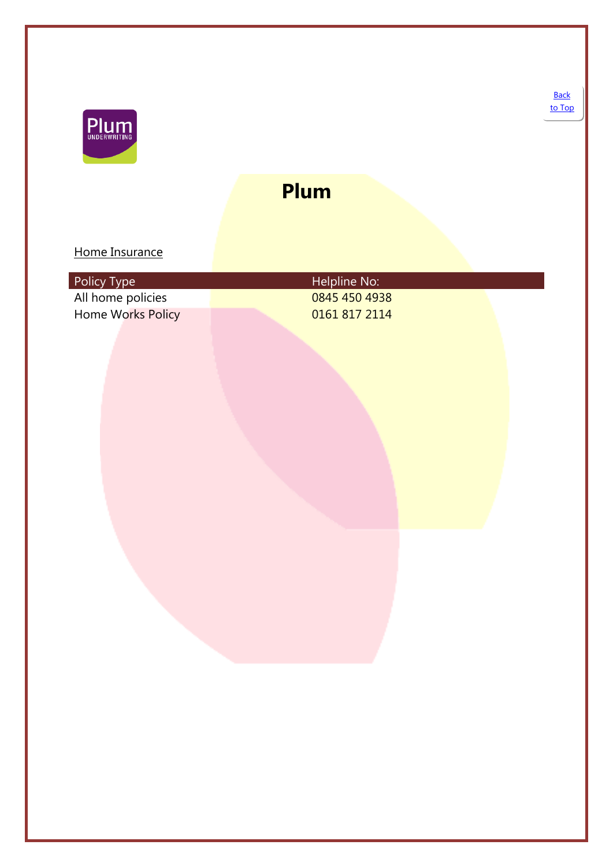<span id="page-25-0"></span>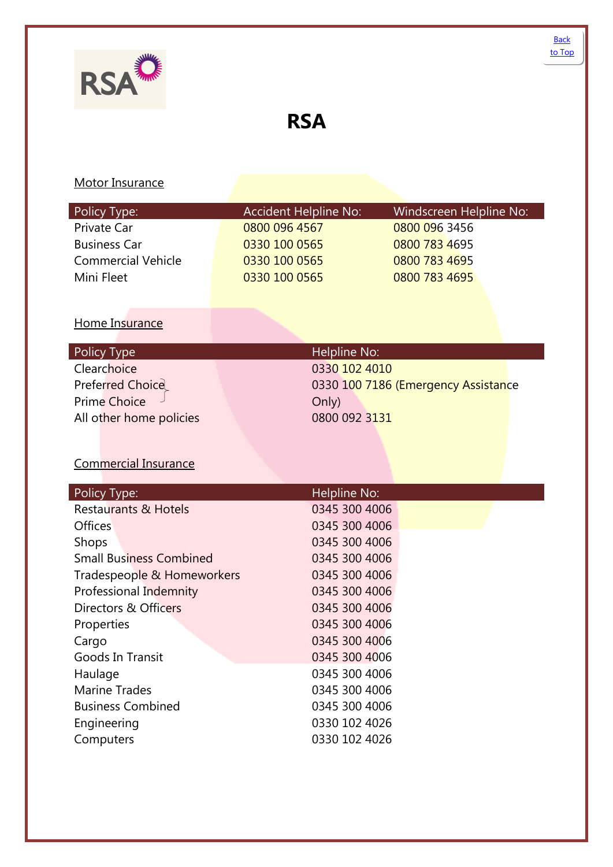<span id="page-26-0"></span>**RSA**

| Policy Type:                                   | <b>Accident Helpline No:</b>   | Windscreen Helpline No:             |
|------------------------------------------------|--------------------------------|-------------------------------------|
| Private Car                                    | 0800 096 4567                  | 0800 096 3456                       |
| <b>Business Car</b>                            | 0330 100 0565                  | 0800 783 4695                       |
| <b>Commercial Vehicle</b>                      | 0330 100 0565                  | 0800 783 4695                       |
| Mini Fleet                                     | 0330 100 0565                  | 0800 783 4695                       |
|                                                |                                |                                     |
|                                                |                                |                                     |
| Home Insurance                                 |                                |                                     |
| Policy Type                                    | Helpline No:                   |                                     |
| Clearchoice                                    | 0330 102 4010                  |                                     |
| Preferred Choice                               |                                | 0330 100 7186 (Emergency Assistance |
| <b>Prime Choice</b>                            | Only)                          |                                     |
| All other home policies                        | 0800 092 3131                  |                                     |
|                                                |                                |                                     |
|                                                |                                |                                     |
| <b>Commercial Insurance</b>                    |                                |                                     |
|                                                |                                |                                     |
| Policy Type:                                   | Helpline No:                   |                                     |
| <b>Restaurants &amp; Hotels</b>                | 0345 300 4006                  |                                     |
| Offices                                        | 0345 300 4006                  |                                     |
| Shops                                          | 0345 300 4006                  |                                     |
| <b>Small Business Combined</b>                 | 0345 300 4006                  |                                     |
| Tradespeople & Homeworkers                     | 0345 300 4006<br>0345 300 4006 |                                     |
| Professional Indemnity<br>Directors & Officers | 0345 300 4006                  |                                     |
|                                                |                                |                                     |
|                                                |                                |                                     |
| Properties                                     | 0345 300 4006                  |                                     |
| Cargo                                          | 0345 300 4006                  |                                     |
| <b>Goods In Transit</b>                        | 0345 300 4006                  |                                     |
| Haulage                                        | 0345 300 4006                  |                                     |
| <b>Marine Trades</b>                           | 0345 300 4006                  |                                     |
| <b>Business Combined</b>                       | 0345 300 4006                  |                                     |
| Engineering<br>Computers                       | 0330 102 4026<br>0330 102 4026 |                                     |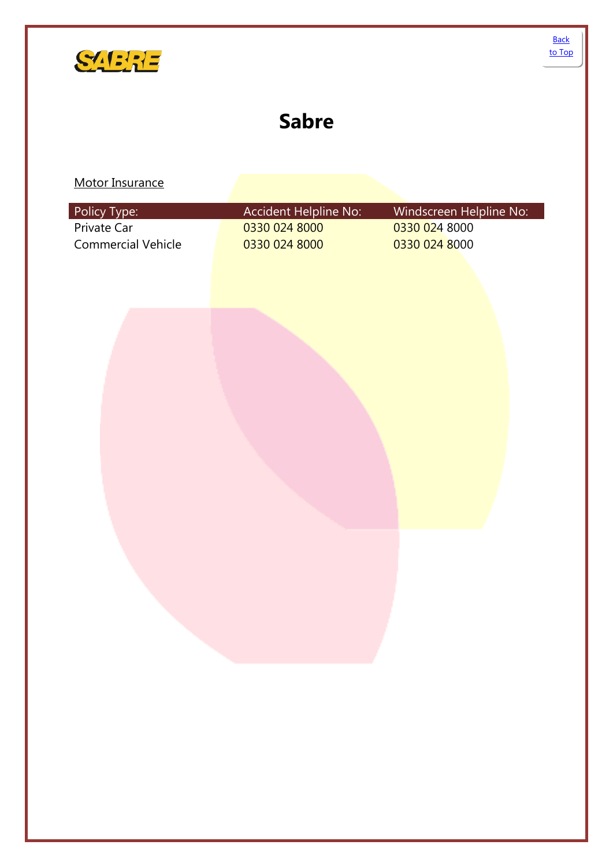<span id="page-27-0"></span>

# **Sabre**

| Policy Type:              | Accident Helpline No: | Windscreen Helpline No: |
|---------------------------|-----------------------|-------------------------|
| Private Car               | 0330 024 8000         | 0330 024 8000           |
| <b>Commercial Vehicle</b> | 0330 024 8000         | 0330 024 8000           |
|                           |                       |                         |
|                           |                       |                         |
|                           |                       |                         |
|                           |                       |                         |
|                           |                       |                         |
|                           |                       |                         |
|                           |                       |                         |
|                           |                       |                         |
|                           |                       |                         |
|                           |                       |                         |
|                           |                       |                         |
|                           |                       |                         |
|                           |                       |                         |
|                           |                       |                         |
|                           |                       |                         |
|                           |                       |                         |
|                           |                       |                         |
|                           |                       |                         |
|                           |                       |                         |
|                           |                       |                         |
|                           |                       |                         |
|                           |                       |                         |
|                           |                       |                         |
|                           |                       |                         |
|                           |                       |                         |
|                           |                       |                         |
|                           |                       |                         |
|                           |                       |                         |
|                           |                       |                         |
|                           |                       |                         |
|                           |                       |                         |
|                           |                       |                         |
|                           |                       |                         |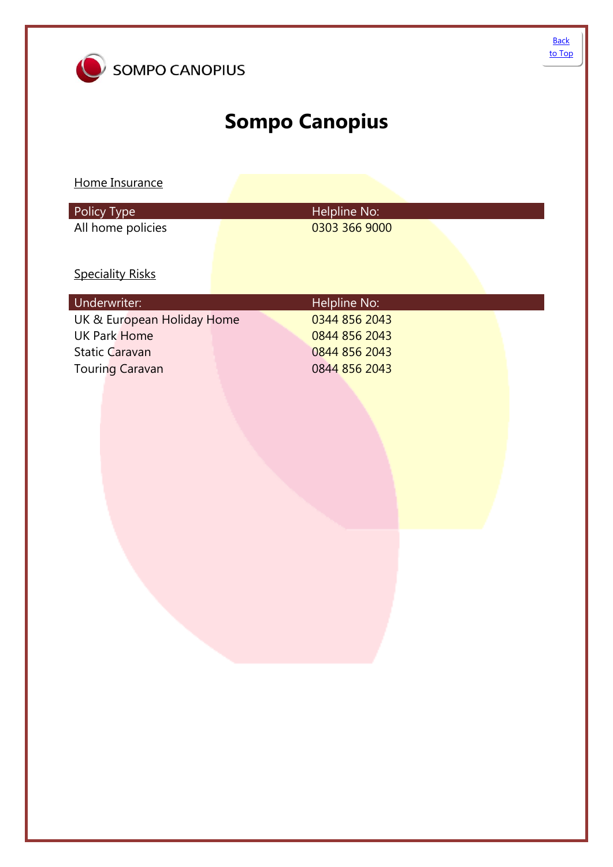<span id="page-28-0"></span>

# **Sompo Canopius**

Home Insurance

| Policy Type       | Helpline No:  |  |
|-------------------|---------------|--|
| All home policies | 0303 366 9000 |  |

### **Speciality Risks**

| Underwriter:               | Helpline No:  |
|----------------------------|---------------|
| UK & European Holiday Home | 0344 856 2043 |
| UK Park Home               | 0844 856 2043 |
| <b>Static Caravan</b>      | 0844 856 2043 |
| <b>Touring Caravan</b>     | 0844 856 2043 |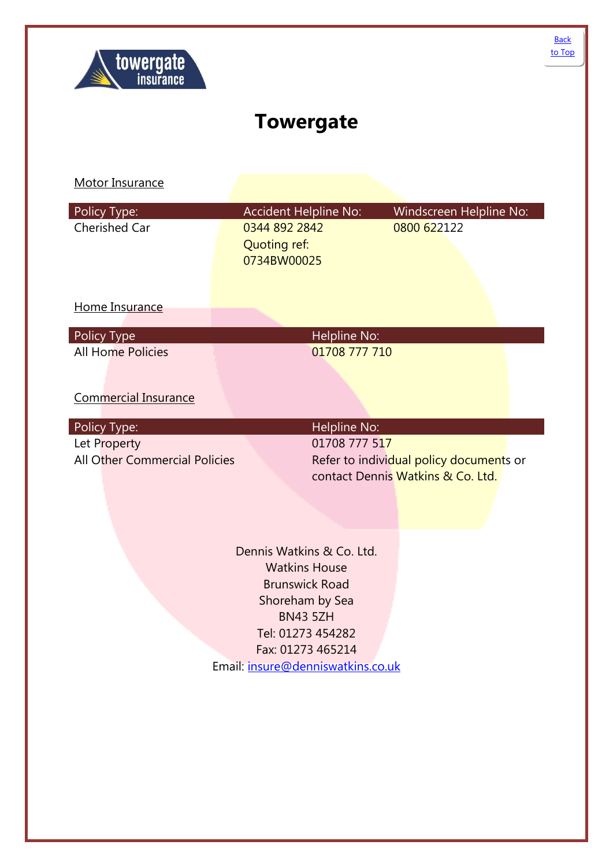<span id="page-29-0"></span>

# **Towergate**

| Policy Type:                  | <b>Accident Helpline No:</b>                                                                                                                                                                    | Windscreen Helpline No:                                                      |
|-------------------------------|-------------------------------------------------------------------------------------------------------------------------------------------------------------------------------------------------|------------------------------------------------------------------------------|
| <b>Cherished Car</b>          | 0344 892 2842<br><b>Quoting ref:</b><br>0734BW00025                                                                                                                                             | 0800 622122                                                                  |
| Home Insurance                |                                                                                                                                                                                                 |                                                                              |
| Policy Type                   | Helpline No:                                                                                                                                                                                    |                                                                              |
| <b>All Home Policies</b>      | 01708 777 710                                                                                                                                                                                   |                                                                              |
| <b>Commercial Insurance</b>   |                                                                                                                                                                                                 |                                                                              |
| Policy Type:                  | Helpline No:                                                                                                                                                                                    |                                                                              |
| Let Property                  | 01708 777 517                                                                                                                                                                                   |                                                                              |
| All Other Commercial Policies |                                                                                                                                                                                                 | Refer to individual policy documents or<br>contact Dennis Watkins & Co. Ltd. |
|                               |                                                                                                                                                                                                 |                                                                              |
|                               | Dennis Watkins & Co. Ltd.<br><b>Watkins House</b><br><b>Brunswick Road</b><br>Shoreham by Sea<br><b>BN43 5ZH</b><br>Tel: 01273 454282<br>Fax: 01273 465214<br>Email: insure@denniswatkins.co.uk |                                                                              |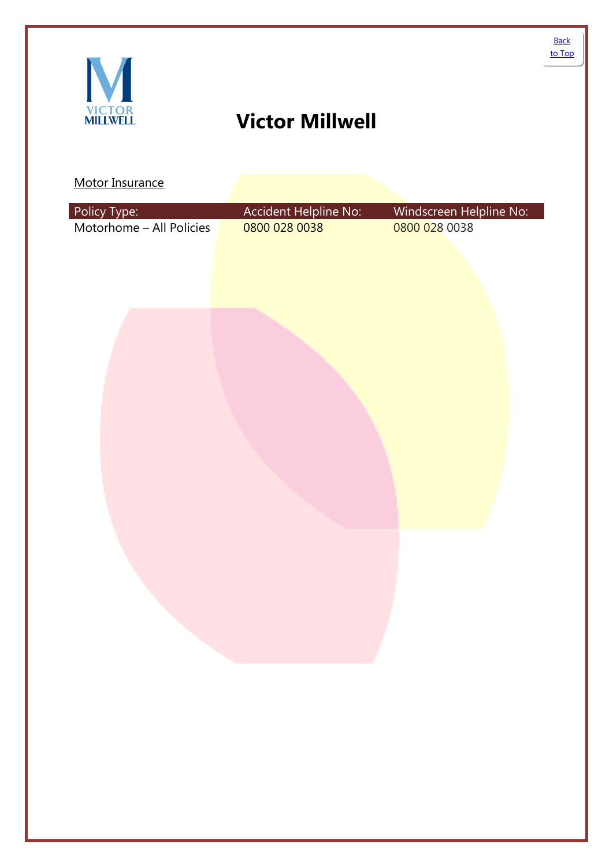# <span id="page-30-0"></span>**Victor Millwell**

| Motorhome - All Policies<br>0800 028 0038<br>0800 028 0038 | Policy Type: | Accident Helpline No: | Windscreen Helpline No: |
|------------------------------------------------------------|--------------|-----------------------|-------------------------|
|                                                            |              |                       |                         |
|                                                            |              |                       |                         |
|                                                            |              |                       |                         |
|                                                            |              |                       |                         |
|                                                            |              |                       |                         |
|                                                            |              |                       |                         |
|                                                            |              |                       |                         |
|                                                            |              |                       |                         |
|                                                            |              |                       |                         |
|                                                            |              |                       |                         |
|                                                            |              |                       |                         |
|                                                            |              |                       |                         |
|                                                            |              |                       |                         |
|                                                            |              |                       |                         |
|                                                            |              |                       |                         |
|                                                            |              |                       |                         |
|                                                            |              |                       |                         |
|                                                            |              |                       |                         |
|                                                            |              |                       |                         |
|                                                            |              |                       |                         |
|                                                            |              |                       |                         |
|                                                            |              |                       |                         |
|                                                            |              |                       |                         |
|                                                            |              |                       |                         |
|                                                            |              |                       |                         |
|                                                            |              |                       |                         |
|                                                            |              |                       |                         |
|                                                            |              |                       |                         |
|                                                            |              |                       |                         |
|                                                            |              |                       |                         |
|                                                            |              |                       |                         |
|                                                            |              |                       |                         |
|                                                            |              |                       |                         |
|                                                            |              |                       |                         |
|                                                            |              |                       |                         |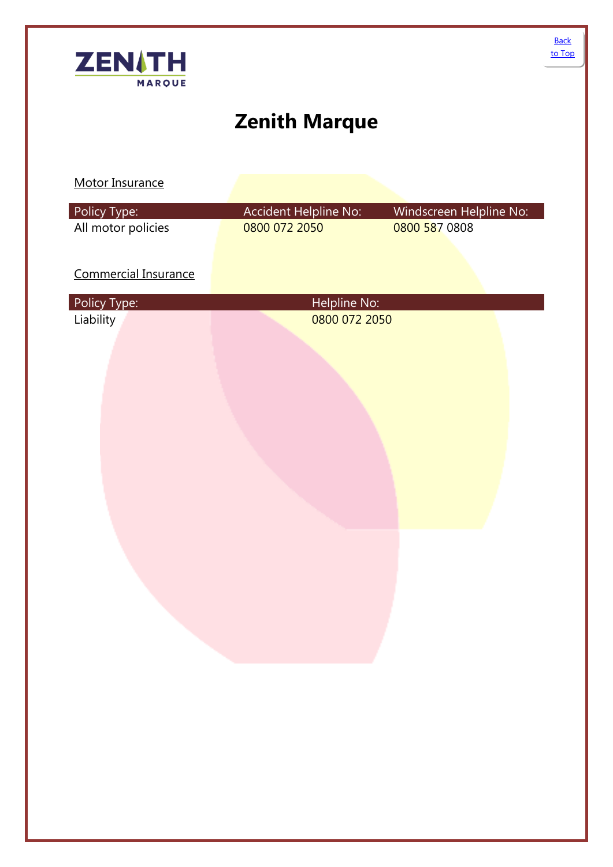<span id="page-31-0"></span>

# **Zenith Marque**

| Policy Type:         | Accident Helpline No: | Windscreen Helpline No: |  |
|----------------------|-----------------------|-------------------------|--|
| All motor policies   | 0800 072 2050         | 0800 587 0808           |  |
|                      |                       |                         |  |
| Commercial Insurance |                       |                         |  |
|                      |                       |                         |  |
| Policy Type:         | Helpline No:          |                         |  |
| Liability            | 0800 072 2050         |                         |  |
|                      |                       |                         |  |
|                      |                       |                         |  |
|                      |                       |                         |  |
|                      |                       |                         |  |
|                      |                       |                         |  |
|                      |                       |                         |  |
|                      |                       |                         |  |
|                      |                       |                         |  |
|                      |                       |                         |  |
|                      |                       |                         |  |
|                      |                       |                         |  |
|                      |                       |                         |  |
|                      |                       |                         |  |
|                      |                       |                         |  |
|                      |                       |                         |  |
|                      |                       |                         |  |
|                      |                       |                         |  |
|                      |                       |                         |  |
|                      |                       |                         |  |
|                      |                       |                         |  |
|                      |                       |                         |  |
|                      |                       |                         |  |
|                      |                       |                         |  |
|                      |                       |                         |  |
|                      |                       |                         |  |